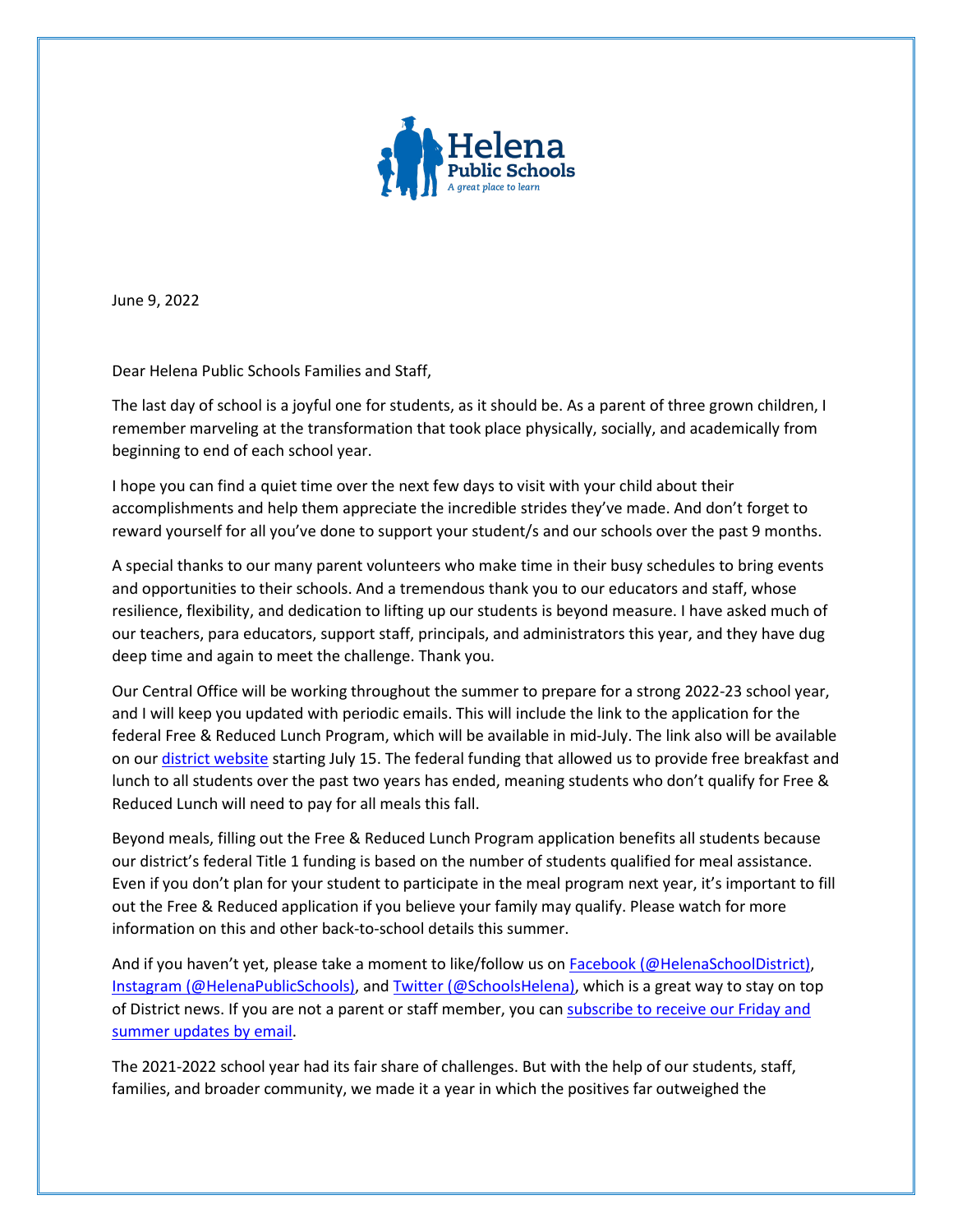

June 9, 2022

Dear Helena Public Schools Families and Staff,

The last day of school is a joyful one for students, as it should be. As a parent of three grown children, I remember marveling at the transformation that took place physically, socially, and academically from beginning to end of each school year.

I hope you can find a quiet time over the next few days to visit with your child about their accomplishments and help them appreciate the incredible strides they've made. And don't forget to reward yourself for all you've done to support your student/s and our schools over the past 9 months.

A special thanks to our many parent volunteers who make time in their busy schedules to bring events and opportunities to their schools. And a tremendous thank you to our educators and staff, whose resilience, flexibility, and dedication to lifting up our students is beyond measure. I have asked much of our teachers, para educators, support staff, principals, and administrators this year, and they have dug deep time and again to meet the challenge. Thank you.

Our Central Office will be working throughout the summer to prepare for a strong 2022-23 school year, and I will keep you updated with periodic emails. This will include the link to the application for the federal Free & Reduced Lunch Program, which will be available in mid-July. The link also will be available on our [district website](https://helenaschools.org/departments/food-services/) starting July 15. The federal funding that allowed us to provide free breakfast and lunch to all students over the past two years has ended, meaning students who don't qualify for Free & Reduced Lunch will need to pay for all meals this fall.

Beyond meals, filling out the Free & Reduced Lunch Program application benefits all students because our district's federal Title 1 funding is based on the number of students qualified for meal assistance. Even if you don't plan for your student to participate in the meal program next year, it's important to fill out the Free & Reduced application if you believe your family may qualify. Please watch for more information on this and other back-to-school details this summer.

And if you haven't yet, please take a moment to like/follow us on [Facebook](https://www.facebook.com/HelenaSchoolDistrict/) (@HelenaSchoolDistrict), [Instagram](https://www.instagram.com/helenapublicschools/) (@HelenaPublicSchools), an[d Twitter \(@SchoolsHelena\),](https://twitter.com/SchoolsHelena) which is a great way to stay on top of District news. If you are not a parent or staff member, you can subscribe to receive our Friday and [summer updates by email.](http://eepurl.com/g_RePf)

The 2021-2022 school year had its fair share of challenges. But with the help of our students, staff, families, and broader community, we made it a year in which the positives far outweighed the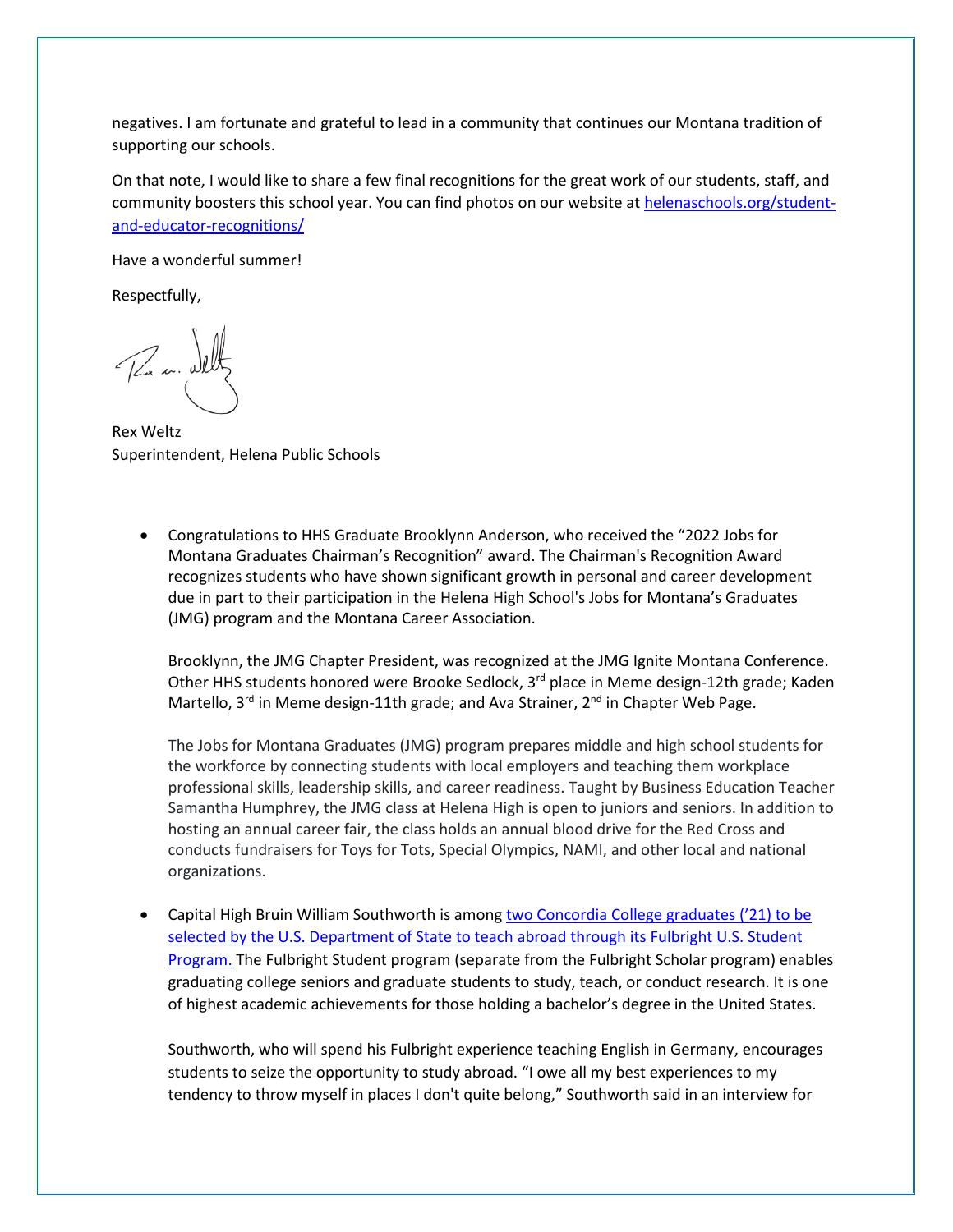negatives. I am fortunate and grateful to lead in a community that continues our Montana tradition of supporting our schools.

On that note, I would like to share a few final recognitions for the great work of our students, staff, and community boosters this school year. You can find photos on our website at [helenaschools.org/student](https://helenaschools.org/student-and-educator-recognitions/)[and-educator-recognitions/](https://helenaschools.org/student-and-educator-recognitions/)

Have a wonderful summer!

Respectfully,

Par m. Deltz

Rex Weltz Superintendent, Helena Public Schools

• Congratulations to HHS Graduate Brooklynn Anderson, who received the "2022 Jobs for Montana Graduates Chairman's Recognition" award. The Chairman's Recognition Award recognizes students who have shown significant growth in personal and career development due in part to their participation in the Helena High School's Jobs for Montana's Graduates (JMG) program and the Montana Career Association.

Brooklynn, the JMG Chapter President, was recognized at the JMG Ignite Montana Conference. Other HHS students honored were Brooke Sedlock, 3<sup>rd</sup> place in Meme design-12th grade; Kaden Martello,  $3^{rd}$  in Meme design-11th grade; and Ava Strainer,  $2^{nd}$  in Chapter Web Page.

The Jobs for Montana Graduates (JMG) program prepares middle and high school students for the workforce by connecting students with local employers and teaching them workplace professional skills, leadership skills, and career readiness. Taught by Business Education Teacher Samantha Humphrey, the JMG class at Helena High is open to juniors and seniors. In addition to hosting an annual career fair, the class holds an annual blood drive for the Red Cross and conducts fundraisers for Toys for Tots, Special Olympics, NAMI, and other local and national organizations.

Capital High Bruin William Southworth is among two Concordia College graduates ('21) to be selected by the U.S. Department of State to teach abroad through its Fulbright U.S. Student [Program.](https://www.concordiacollege.edu/news/details/two-recent-concordia-grads-offered-prestigious-fulbright-awards/) The Fulbright Student program (separate from the Fulbright Scholar program) enables graduating college seniors and graduate students to study, teach, or conduct research. It is one of highest academic achievements for those holding a bachelor's degree in the United States.

Southworth, who will spend his Fulbright experience teaching English in Germany, encourages students to seize the opportunity to study abroad. "I owe all my best experiences to my tendency to throw myself in places I don't quite belong," Southworth said in an interview for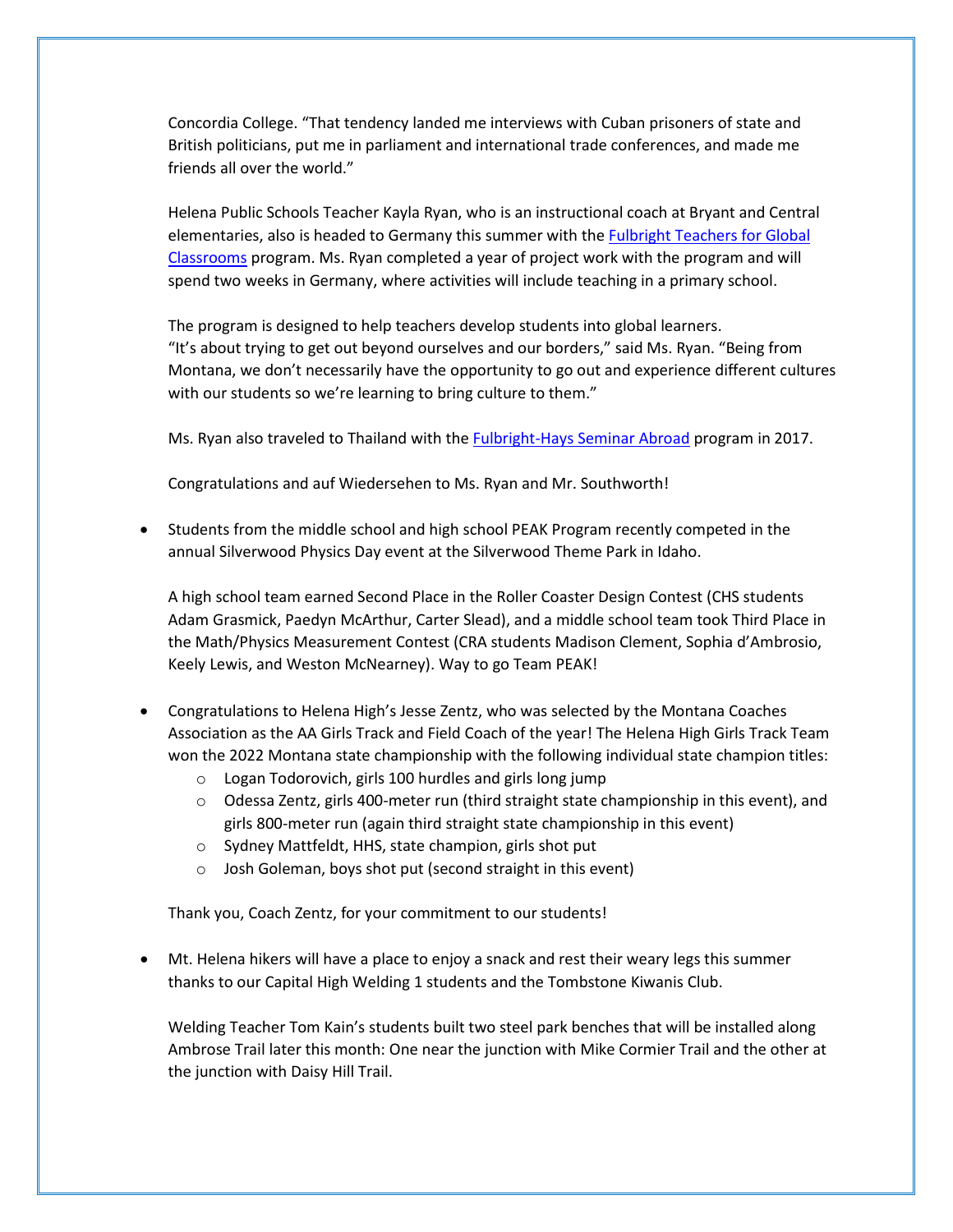Concordia College. "That tendency landed me interviews with Cuban prisoners of state and British politicians, put me in parliament and international trade conferences, and made me friends all over the world."

Helena Public Schools Teacher Kayla Ryan, who is an instructional coach at Bryant and Central elementaries, also is headed to Germany this summer with the [Fulbright Teachers for Global](https://www.irex.org/project/fulbright-teachers-global-classrooms-program-fulbright-tgc#:%7E:text=Tags-,Overview,for%20a%20competitive%20global%20economy.)  [Classrooms](https://www.irex.org/project/fulbright-teachers-global-classrooms-program-fulbright-tgc#:%7E:text=Tags-,Overview,for%20a%20competitive%20global%20economy.) program. Ms. Ryan completed a year of project work with the program and will spend two weeks in Germany, where activities will include teaching in a primary school.

The program is designed to help teachers develop students into global learners. "It's about trying to get out beyond ourselves and our borders," said Ms. Ryan. "Being from Montana, we don't necessarily have the opportunity to go out and experience different cultures with our students so we're learning to bring culture to them."

Ms. Ryan also traveled to Thailand with the [Fulbright-Hays Seminar Abroad](https://content.govdelivery.com/accounts/USED/bulletins/2f79e63) program in 2017.

Congratulations and auf Wiedersehen to Ms. Ryan and Mr. Southworth!

• Students from the middle school and high school PEAK Program recently competed in the annual Silverwood Physics Day event at the Silverwood Theme Park in Idaho.

A high school team earned Second Place in the Roller Coaster Design Contest (CHS students Adam Grasmick, Paedyn McArthur, Carter Slead), and a middle school team took Third Place in the Math/Physics Measurement Contest (CRA students Madison Clement, Sophia d'Ambrosio, Keely Lewis, and Weston McNearney). Way to go Team PEAK!

- Congratulations to Helena High's Jesse Zentz, who was selected by the Montana Coaches Association as the AA Girls Track and Field Coach of the year! The Helena High Girls Track Team won the 2022 Montana state championship with the following individual state champion titles:
	- o Logan Todorovich, girls 100 hurdles and girls long jump
	- $\circ$  Odessa Zentz, girls 400-meter run (third straight state championship in this event), and girls 800-meter run (again third straight state championship in this event)
	- o Sydney Mattfeldt, HHS, state champion, girls shot put
	- o Josh Goleman, boys shot put (second straight in this event)

Thank you, Coach Zentz, for your commitment to our students!

• Mt. Helena hikers will have a place to enjoy a snack and rest their weary legs this summer thanks to our Capital High Welding 1 students and the Tombstone Kiwanis Club.

Welding Teacher Tom Kain's students built two steel park benches that will be installed along Ambrose Trail later this month: One near the junction with Mike Cormier Trail and the other at the junction with Daisy Hill Trail.